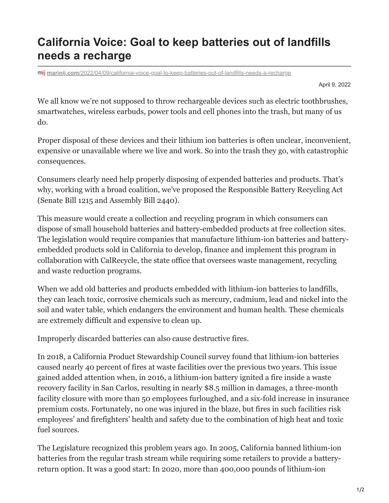## **California Voice: Goal to keep batteries out of landfills needs a recharge**

mlj marinij.com[/2022/04/09/california-voice-goal-to-keep-batteries-out-of-landfills-needs-a-recharge](https://www.marinij.com/2022/04/09/california-voice-goal-to-keep-batteries-out-of-landfills-needs-a-recharge/)

April 9, 2022

We all know we're not supposed to throw rechargeable devices such as electric toothbrushes, smartwatches, wireless earbuds, power tools and cell phones into the trash, but many of us do.

Proper disposal of these devices and their lithium ion batteries is often unclear, inconvenient, expensive or unavailable where we live and work. So into the trash they go, with catastrophic consequences.

Consumers clearly need help properly disposing of expended batteries and products. That's why, working with a broad coalition, we've proposed the Responsible Battery Recycling Act (Senate Bill 1215 and Assembly Bill 2440).

This measure would create a collection and recycling program in which consumers can dispose of small household batteries and battery-embedded products at free collection sites. The legislation would require companies that manufacture lithium-ion batteries and batteryembedded products sold in California to develop, finance and implement this program in collaboration with CalRecycle, the state office that oversees waste management, recycling and waste reduction programs.

When we add old batteries and products embedded with lithium-ion batteries to landfills, they can leach toxic, corrosive chemicals such as mercury, cadmium, lead and nickel into the soil and water table, which endangers the environment and human health. These chemicals are extremely difficult and expensive to clean up.

Improperly discarded batteries can also cause destructive fires.

In 2018, a California Product Stewardship Council survey found that lithium-ion batteries caused nearly 40 percent of fires at waste facilities over the previous two years. This issue gained added attention when, in 2016, a lithium-ion battery ignited a fire inside a waste recovery facility in San Carlos, resulting in nearly \$8.5 million in damages, a three-month facility closure with more than 50 employees furloughed, and a six-fold increase in insurance premium costs. Fortunately, no one was injured in the blaze, but fires in such facilities risk employees' and firefighters' health and safety due to the combination of high heat and toxic fuel sources.

The Legislature recognized this problem years ago. In 2005, California banned lithium-ion batteries from the regular trash stream while requiring some retailers to provide a batteryreturn option. It was a good start: In 2020, more than 400,000 pounds of lithium-ion